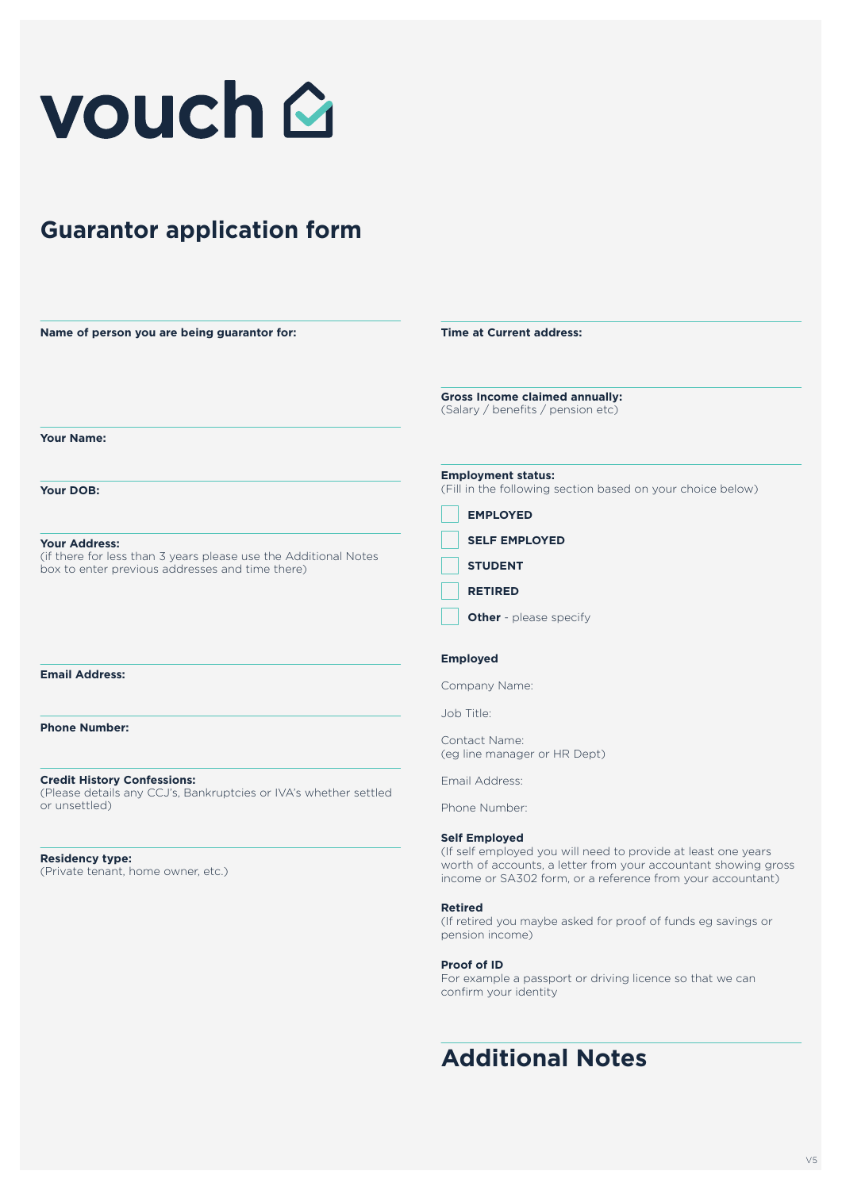

# **Guarantor application form**

| Name of person you are being guarantor for:                                                                        | <b>Time at Current address:</b>                                                                                                                                                               |
|--------------------------------------------------------------------------------------------------------------------|-----------------------------------------------------------------------------------------------------------------------------------------------------------------------------------------------|
|                                                                                                                    | <b>Gross Income claimed annually:</b><br>(Salary / benefits / pension etc)                                                                                                                    |
| <b>Your Name:</b>                                                                                                  |                                                                                                                                                                                               |
| Your DOB:                                                                                                          | <b>Employment status:</b><br>(Fill in the following section based on your choice below)                                                                                                       |
|                                                                                                                    | <b>EMPLOYED</b>                                                                                                                                                                               |
| <b>Your Address:</b>                                                                                               | <b>SELF EMPLOYED</b>                                                                                                                                                                          |
| (if there for less than 3 years please use the Additional Notes<br>box to enter previous addresses and time there) | <b>STUDENT</b>                                                                                                                                                                                |
|                                                                                                                    | <b>RETIRED</b>                                                                                                                                                                                |
|                                                                                                                    | <b>Other</b> - please specify                                                                                                                                                                 |
|                                                                                                                    | <b>Employed</b>                                                                                                                                                                               |
| <b>Email Address:</b>                                                                                              | Company Name:                                                                                                                                                                                 |
|                                                                                                                    | Job Title:                                                                                                                                                                                    |
| <b>Phone Number:</b>                                                                                               | Contact Name:<br>(eg line manager or HR Dept)                                                                                                                                                 |
| <b>Credit History Confessions:</b>                                                                                 | Email Address:                                                                                                                                                                                |
| (Please details any CCJ's, Bankruptcies or IVA's whether settled<br>or unsettled)                                  | Phone Number:                                                                                                                                                                                 |
|                                                                                                                    | <b>Self Employed</b>                                                                                                                                                                          |
| <b>Residency type:</b><br>(Private tenant, home owner, etc.)                                                       | (If self employed you will need to provide at least one years<br>worth of accounts, a letter from your accountant showing gross<br>income or SA302 form, or a reference from your accountant) |
|                                                                                                                    | <b>Retired</b><br>(If retired you maybe asked for proof of funds eg savings or<br>pension income)                                                                                             |

# **Proof of ID**

For example a passport or driving licence so that we can confirm your identity

# **Additional Notes**